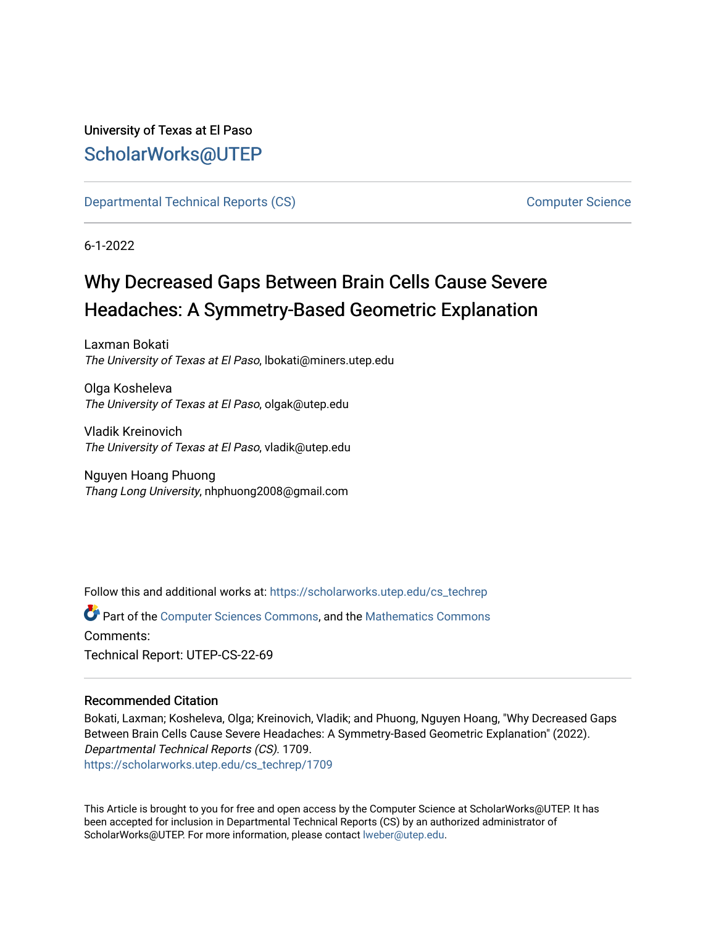# University of Texas at El Paso [ScholarWorks@UTEP](https://scholarworks.utep.edu/)

[Departmental Technical Reports \(CS\)](https://scholarworks.utep.edu/cs_techrep) [Computer Science](https://scholarworks.utep.edu/computer) 

6-1-2022

# Why Decreased Gaps Between Brain Cells Cause Severe Headaches: A Symmetry-Based Geometric Explanation

Laxman Bokati The University of Texas at El Paso, lbokati@miners.utep.edu

Olga Kosheleva The University of Texas at El Paso, olgak@utep.edu

Vladik Kreinovich The University of Texas at El Paso, vladik@utep.edu

Nguyen Hoang Phuong Thang Long University, nhphuong2008@gmail.com

Follow this and additional works at: [https://scholarworks.utep.edu/cs\\_techrep](https://scholarworks.utep.edu/cs_techrep?utm_source=scholarworks.utep.edu%2Fcs_techrep%2F1709&utm_medium=PDF&utm_campaign=PDFCoverPages) 

Part of the [Computer Sciences Commons](https://network.bepress.com/hgg/discipline/142?utm_source=scholarworks.utep.edu%2Fcs_techrep%2F1709&utm_medium=PDF&utm_campaign=PDFCoverPages), and the [Mathematics Commons](https://network.bepress.com/hgg/discipline/174?utm_source=scholarworks.utep.edu%2Fcs_techrep%2F1709&utm_medium=PDF&utm_campaign=PDFCoverPages)  Comments: Technical Report: UTEP-CS-22-69

## Recommended Citation

Bokati, Laxman; Kosheleva, Olga; Kreinovich, Vladik; and Phuong, Nguyen Hoang, "Why Decreased Gaps Between Brain Cells Cause Severe Headaches: A Symmetry-Based Geometric Explanation" (2022). Departmental Technical Reports (CS). 1709. [https://scholarworks.utep.edu/cs\\_techrep/1709](https://scholarworks.utep.edu/cs_techrep/1709?utm_source=scholarworks.utep.edu%2Fcs_techrep%2F1709&utm_medium=PDF&utm_campaign=PDFCoverPages) 

This Article is brought to you for free and open access by the Computer Science at ScholarWorks@UTEP. It has been accepted for inclusion in Departmental Technical Reports (CS) by an authorized administrator of ScholarWorks@UTEP. For more information, please contact [lweber@utep.edu](mailto:lweber@utep.edu).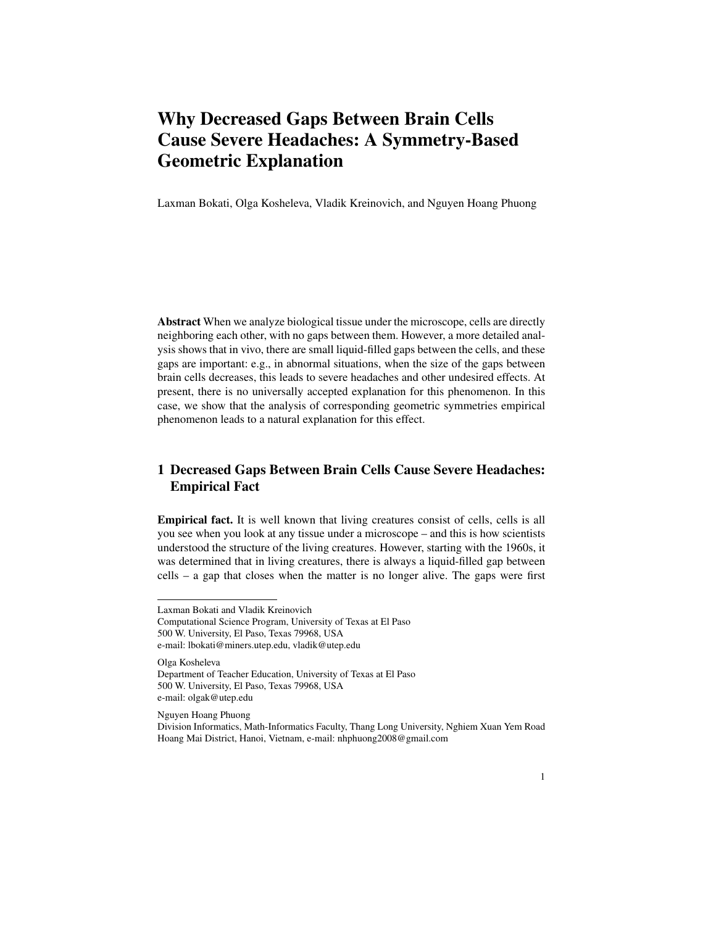# Why Decreased Gaps Between Brain Cells Cause Severe Headaches: A Symmetry-Based Geometric Explanation

Laxman Bokati, Olga Kosheleva, Vladik Kreinovich, and Nguyen Hoang Phuong

Abstract When we analyze biological tissue under the microscope, cells are directly neighboring each other, with no gaps between them. However, a more detailed analysis shows that in vivo, there are small liquid-filled gaps between the cells, and these gaps are important: e.g., in abnormal situations, when the size of the gaps between brain cells decreases, this leads to severe headaches and other undesired effects. At present, there is no universally accepted explanation for this phenomenon. In this case, we show that the analysis of corresponding geometric symmetries empirical phenomenon leads to a natural explanation for this effect.

## 1 Decreased Gaps Between Brain Cells Cause Severe Headaches: Empirical Fact

Empirical fact. It is well known that living creatures consist of cells, cells is all you see when you look at any tissue under a microscope – and this is how scientists understood the structure of the living creatures. However, starting with the 1960s, it was determined that in living creatures, there is always a liquid-filled gap between cells – a gap that closes when the matter is no longer alive. The gaps were first

Olga Kosheleva Department of Teacher Education, University of Texas at El Paso 500 W. University, El Paso, Texas 79968, USA e-mail: olgak@utep.edu

Nguyen Hoang Phuong

Laxman Bokati and Vladik Kreinovich

Computational Science Program, University of Texas at El Paso 500 W. University, El Paso, Texas 79968, USA e-mail: lbokati@miners.utep.edu, vladik@utep.edu

Division Informatics, Math-Informatics Faculty, Thang Long University, Nghiem Xuan Yem Road Hoang Mai District, Hanoi, Vietnam, e-mail: nhphuong2008@gmail.com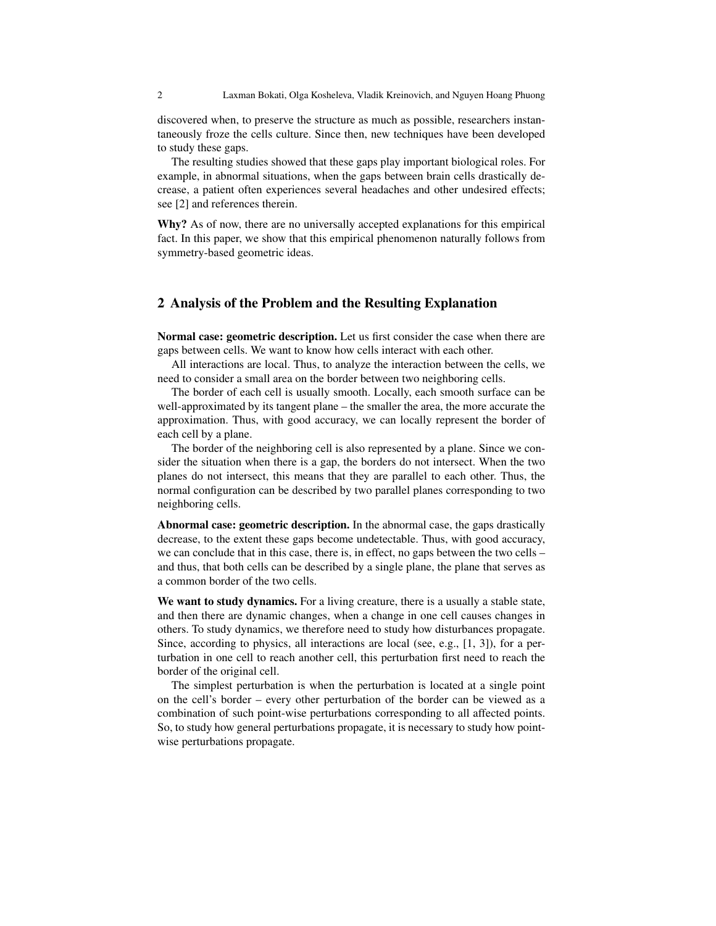discovered when, to preserve the structure as much as possible, researchers instantaneously froze the cells culture. Since then, new techniques have been developed to study these gaps.

The resulting studies showed that these gaps play important biological roles. For example, in abnormal situations, when the gaps between brain cells drastically decrease, a patient often experiences several headaches and other undesired effects; see [2] and references therein.

Why? As of now, there are no universally accepted explanations for this empirical fact. In this paper, we show that this empirical phenomenon naturally follows from symmetry-based geometric ideas.

### 2 Analysis of the Problem and the Resulting Explanation

Normal case: geometric description. Let us first consider the case when there are gaps between cells. We want to know how cells interact with each other.

All interactions are local. Thus, to analyze the interaction between the cells, we need to consider a small area on the border between two neighboring cells.

The border of each cell is usually smooth. Locally, each smooth surface can be well-approximated by its tangent plane – the smaller the area, the more accurate the approximation. Thus, with good accuracy, we can locally represent the border of each cell by a plane.

The border of the neighboring cell is also represented by a plane. Since we consider the situation when there is a gap, the borders do not intersect. When the two planes do not intersect, this means that they are parallel to each other. Thus, the normal configuration can be described by two parallel planes corresponding to two neighboring cells.

Abnormal case: geometric description. In the abnormal case, the gaps drastically decrease, to the extent these gaps become undetectable. Thus, with good accuracy, we can conclude that in this case, there is, in effect, no gaps between the two cells – and thus, that both cells can be described by a single plane, the plane that serves as a common border of the two cells.

We want to study dynamics. For a living creature, there is a usually a stable state, and then there are dynamic changes, when a change in one cell causes changes in others. To study dynamics, we therefore need to study how disturbances propagate. Since, according to physics, all interactions are local (see, e.g., [1, 3]), for a perturbation in one cell to reach another cell, this perturbation first need to reach the border of the original cell.

The simplest perturbation is when the perturbation is located at a single point on the cell's border – every other perturbation of the border can be viewed as a combination of such point-wise perturbations corresponding to all affected points. So, to study how general perturbations propagate, it is necessary to study how pointwise perturbations propagate.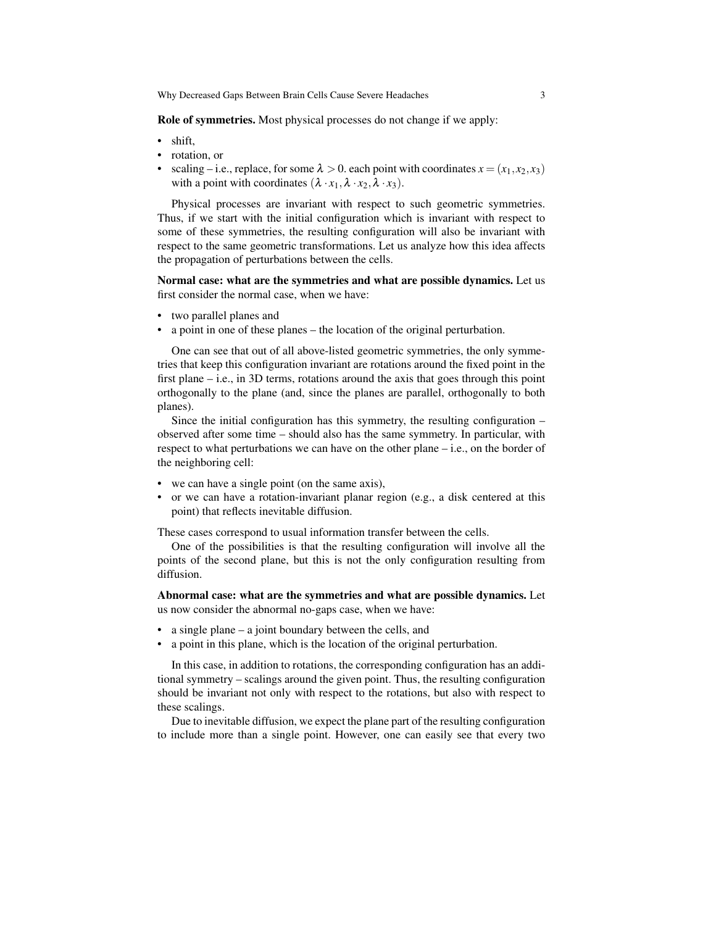Why Decreased Gaps Between Brain Cells Cause Severe Headaches 3

Role of symmetries. Most physical processes do not change if we apply:

- shift.
- rotation, or
- scaling i.e., replace, for some  $\lambda > 0$ . each point with coordinates  $x = (x_1, x_2, x_3)$ with a point with coordinates  $(\lambda \cdot x_1, \lambda \cdot x_2, \lambda \cdot x_3)$ .

Physical processes are invariant with respect to such geometric symmetries. Thus, if we start with the initial configuration which is invariant with respect to some of these symmetries, the resulting configuration will also be invariant with respect to the same geometric transformations. Let us analyze how this idea affects the propagation of perturbations between the cells.

Normal case: what are the symmetries and what are possible dynamics. Let us first consider the normal case, when we have:

- two parallel planes and
- a point in one of these planes the location of the original perturbation.

One can see that out of all above-listed geometric symmetries, the only symmetries that keep this configuration invariant are rotations around the fixed point in the first plane – i.e., in 3D terms, rotations around the axis that goes through this point orthogonally to the plane (and, since the planes are parallel, orthogonally to both planes).

Since the initial configuration has this symmetry, the resulting configuration – observed after some time – should also has the same symmetry. In particular, with respect to what perturbations we can have on the other plane – i.e., on the border of the neighboring cell:

- we can have a single point (on the same axis),
- or we can have a rotation-invariant planar region (e.g., a disk centered at this point) that reflects inevitable diffusion.

These cases correspond to usual information transfer between the cells.

One of the possibilities is that the resulting configuration will involve all the points of the second plane, but this is not the only configuration resulting from diffusion.

Abnormal case: what are the symmetries and what are possible dynamics. Let us now consider the abnormal no-gaps case, when we have:

- a single plane a joint boundary between the cells, and
- a point in this plane, which is the location of the original perturbation.

In this case, in addition to rotations, the corresponding configuration has an additional symmetry – scalings around the given point. Thus, the resulting configuration should be invariant not only with respect to the rotations, but also with respect to these scalings.

Due to inevitable diffusion, we expect the plane part of the resulting configuration to include more than a single point. However, one can easily see that every two